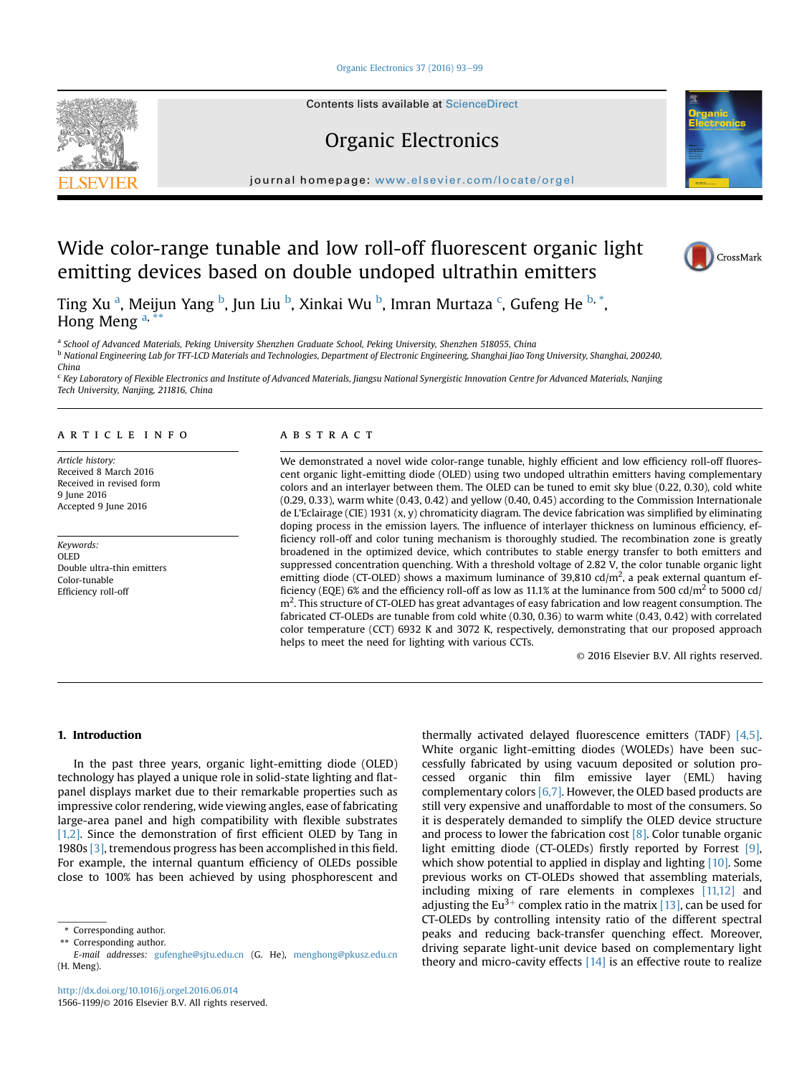## [Organic Electronics 37 \(2016\) 93](http://dx.doi.org/10.1016/j.orgel.2016.06.014)-[99](http://dx.doi.org/10.1016/j.orgel.2016.06.014)

Contents lists available at ScienceDirect

# Organic Electronics

journal homepage: <www.elsevier.com/locate/orgel>

# Wide color-range tunable and low roll-off fluorescent organic light emitting devices based on double undoped ultrathin emitters

Ting Xu <sup>a</sup>, Meijun Yang <sup>b</sup>, Jun Liu <sup>b</sup>, Xinkai Wu <sup>b</sup>, Imran Murtaza <sup>c</sup>, Gufeng He <sup>b, \*</sup>, Hong Meng  $a^*$ 

a School of Advanced Materials, Peking University Shenzhen Graduate School, Peking University, Shenzhen 518055, China

<sup>b</sup> National Engineering Lab for TFT-LCD Materials and Technologies, Department of Electronic Engineering, Shanghai Jiao Tong University, Shanghai, 200240, China

<sup>c</sup> Key Laboratory of Flexible Electronics and Institute of Advanced Materials, Jiangsu National Synergistic Innovation Centre for Advanced Materials, Nanjing Tech University, Nanjing, 211816, China

# article info

Article history: Received 8 March 2016 Received in revised form 9 June 2016 Accepted 9 June 2016

Keywords: OLED Double ultra-thin emitters Color-tunable Efficiency roll-off

# ABSTRACT

We demonstrated a novel wide color-range tunable, highly efficient and low efficiency roll-off fluorescent organic light-emitting diode (OLED) using two undoped ultrathin emitters having complementary colors and an interlayer between them. The OLED can be tuned to emit sky blue (0.22, 0.30), cold white (0.29, 0.33), warm white (0.43, 0.42) and yellow (0.40, 0.45) according to the Commission Internationale de L'Eclairage (CIE) 1931 (x, y) chromaticity diagram. The device fabrication was simplified by eliminating doping process in the emission layers. The influence of interlayer thickness on luminous efficiency, efficiency roll-off and color tuning mechanism is thoroughly studied. The recombination zone is greatly broadened in the optimized device, which contributes to stable energy transfer to both emitters and suppressed concentration quenching. With a threshold voltage of 2.82 V, the color tunable organic light emitting diode (CT-OLED) shows a maximum luminance of 39,810 cd/m<sup>2</sup>, a peak external quantum efficiency (EQE) 6% and the efficiency roll-off as low as 11.1% at the luminance from 500 cd/m<sup>2</sup> to 5000 cd/  $m<sup>2</sup>$ . This structure of CT-OLED has great advantages of easy fabrication and low reagent consumption. The fabricated CT-OLEDs are tunable from cold white (0.30, 0.36) to warm white (0.43, 0.42) with correlated color temperature (CCT) 6932 K and 3072 K, respectively, demonstrating that our proposed approach helps to meet the need for lighting with various CCTs.

© 2016 Elsevier B.V. All rights reserved.

## 1. Introduction

In the past three years, organic light-emitting diode (OLED) technology has played a unique role in solid-state lighting and flatpanel displays market due to their remarkable properties such as impressive color rendering, wide viewing angles, ease of fabricating large-area panel and high compatibility with flexible substrates [\[1,2\]](#page-5-0). Since the demonstration of first efficient OLED by Tang in 1980s [\[3\],](#page-5-0) tremendous progress has been accomplished in this field. For example, the internal quantum efficiency of OLEDs possible close to 100% has been achieved by using phosphorescent and

\*\* Corresponding author.

thermally activated delayed fluorescence emitters (TADF) [\[4,5\].](#page-5-0) White organic light-emitting diodes (WOLEDs) have been successfully fabricated by using vacuum deposited or solution processed organic thin film emissive layer (EML) having complementary colors  $[6,7]$ . However, the OLED based products are still very expensive and unaffordable to most of the consumers. So it is desperately demanded to simplify the OLED device structure and process to lower the fabrication cost [\[8\]](#page-5-0). Color tunable organic light emitting diode (CT-OLEDs) firstly reported by Forrest [\[9\],](#page-6-0) which show potential to applied in display and lighting [\[10\].](#page-6-0) Some previous works on CT-OLEDs showed that assembling materials, including mixing of rare elements in complexes [\[11,12\]](#page-6-0) and adjusting the Eu<sup>3+</sup> complex ratio in the matrix [\[13\]](#page-6-0), can be used for CT-OLEDs by controlling intensity ratio of the different spectral peaks and reducing back-transfer quenching effect. Moreover, driving separate light-unit device based on complementary light theory and micro-cavity effects  $[14]$  is an effective route to realize







Corresponding author.

E-mail addresses: [gufenghe@sjtu.edu.cn](mailto:gufenghe@sjtu.edu.cn) (G. He), [menghong@pkusz.edu.cn](mailto:menghong@pkusz.edu.cn) (H. Meng).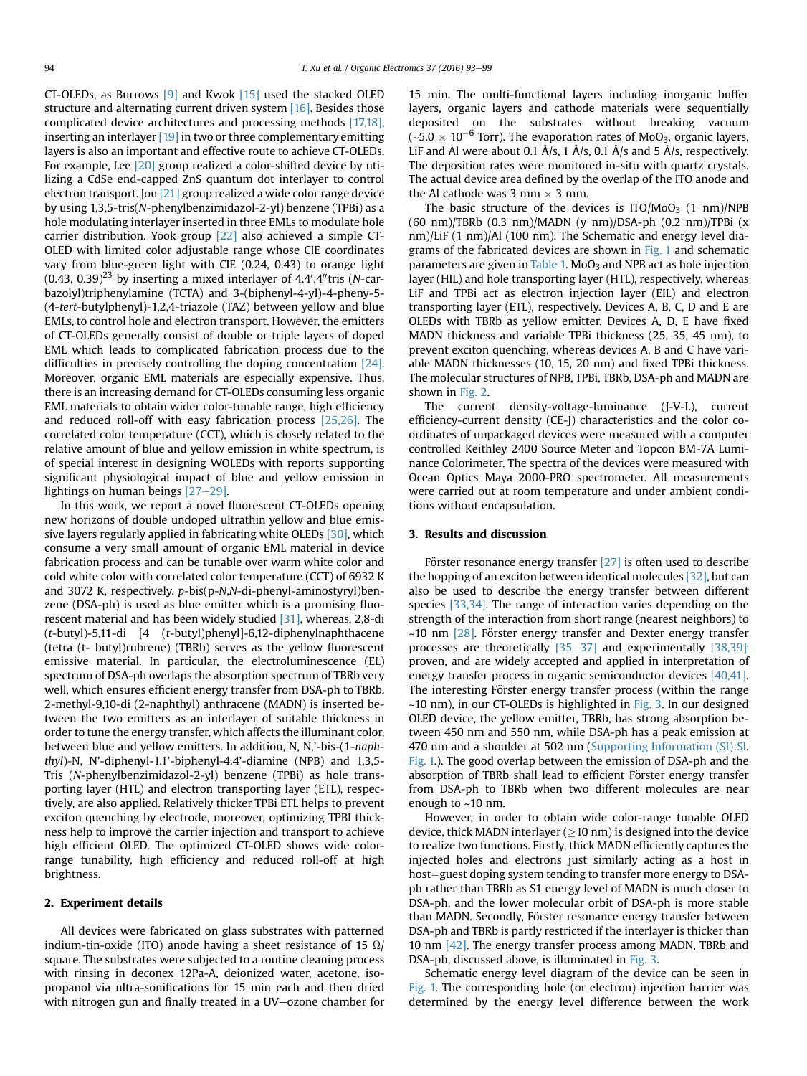CT-OLEDs, as Burrows [\[9\]](#page-6-0) and Kwok [\[15\]](#page-6-0) used the stacked OLED structure and alternating current driven system [\[16\].](#page-6-0) Besides those complicated device architectures and processing methods [\[17,18\],](#page-6-0) inserting an interlayer [\[19\]](#page-6-0) in two or three complementary emitting layers is also an important and effective route to achieve CT-OLEDs. For example, Lee [\[20\]](#page-6-0) group realized a color-shifted device by utilizing a CdSe end-capped ZnS quantum dot interlayer to control electron transport. Jou [\[21\]](#page-6-0) group realized a wide color range device by using 1,3,5-tris(N-phenylbenzimidazol-2-yl) benzene (TPBi) as a hole modulating interlayer inserted in three EMLs to modulate hole carrier distribution. Yook group [\[22\]](#page-6-0) also achieved a simple CT-OLED with limited color adjustable range whose CIE coordinates vary from blue-green light with CIE (0.24, 0.43) to orange light (0.43, 0.39)<sup>23</sup> by inserting a mixed interlayer of 4.4',4"tris (N-carbazolyl)triphenylamine (TCTA) and 3-(biphenyl-4-yl)-4-pheny-5- (4-tert-butylphenyl)-1,2,4-triazole (TAZ) between yellow and blue EMLs, to control hole and electron transport. However, the emitters of CT-OLEDs generally consist of double or triple layers of doped EML which leads to complicated fabrication process due to the difficulties in precisely controlling the doping concentration [\[24\].](#page-6-0) Moreover, organic EML materials are especially expensive. Thus, there is an increasing demand for CT-OLEDs consuming less organic EML materials to obtain wider color-tunable range, high efficiency and reduced roll-off with easy fabrication process [\[25,26\].](#page-6-0) The correlated color temperature (CCT), which is closely related to the relative amount of blue and yellow emission in white spectrum, is of special interest in designing WOLEDs with reports supporting significant physiological impact of blue and yellow emission in lightings on human beings  $[27-29]$  $[27-29]$  $[27-29]$ .

In this work, we report a novel fluorescent CT-OLEDs opening new horizons of double undoped ultrathin yellow and blue emissive layers regularly applied in fabricating white OLEDs [\[30\],](#page-6-0) which consume a very small amount of organic EML material in device fabrication process and can be tunable over warm white color and cold white color with correlated color temperature (CCT) of 6932 K and 3072 K, respectively. p-bis(p-N,N-di-phenyl-aminostyryl)benzene (DSA-ph) is used as blue emitter which is a promising fluorescent material and has been widely studied [\[31\],](#page-6-0) whereas, 2,8-di (t-butyl)-5,11-di [4 (t-butyl)phenyl]-6,12-diphenylnaphthacene (tetra (t- butyl)rubrene) (TBRb) serves as the yellow fluorescent emissive material. In particular, the electroluminescence (EL) spectrum of DSA-ph overlaps the absorption spectrum of TBRb very well, which ensures efficient energy transfer from DSA-ph to TBRb. 2-methyl-9,10-di (2-naphthyl) anthracene (MADN) is inserted between the two emitters as an interlayer of suitable thickness in order to tune the energy transfer, which affects the illuminant color, between blue and yellow emitters. In addition, N, N,'-bis-(1-naphthyl)-N, N'-diphenyl-1.1'-biphenyl-4.4'-diamine (NPB) and 1,3,5- Tris (N-phenylbenzimidazol-2-yl) benzene (TPBi) as hole transporting layer (HTL) and electron transporting layer (ETL), respectively, are also applied. Relatively thicker TPBi ETL helps to prevent exciton quenching by electrode, moreover, optimizing TPBI thickness help to improve the carrier injection and transport to achieve high efficient OLED. The optimized CT-OLED shows wide colorrange tunability, high efficiency and reduced roll-off at high brightness.

#### 2. Experiment details

All devices were fabricated on glass substrates with patterned indium-tin-oxide (ITO) anode having a sheet resistance of 15  $\Omega$ / square. The substrates were subjected to a routine cleaning process with rinsing in deconex 12Pa-A, deionized water, acetone, isopropanol via ultra-sonifications for 15 min each and then dried with nitrogen gun and finally treated in a UV-ozone chamber for

15 min. The multi-functional layers including inorganic buffer layers, organic layers and cathode materials were sequentially deposited on the substrates without breaking vacuum  $(-5.0 \times 10^{-6}$  Torr). The evaporation rates of MoO<sub>3</sub>, organic layers, LiF and Al were about 0.1 Å/s, 1 Å/s, 0.1 Å/s and 5 Å/s, respectively. The deposition rates were monitored in-situ with quartz crystals. The actual device area defined by the overlap of the ITO anode and the Al cathode was 3 mm  $\times$  3 mm.

The basic structure of the devices is  $ITO/MoO<sub>3</sub>$  (1 nm)/NPB (60 nm)/TBRb (0.3 nm)/MADN (y nm)/DSA-ph (0.2 nm)/TPBi (x nm)/LiF (1 nm)/Al (100 nm). The Schematic and energy level diagrams of the fabricated devices are shown in [Fig. 1](#page-2-0) and schematic parameters are given in [Table 1.](#page-2-0) MoO<sub>3</sub> and NPB act as hole injection layer (HIL) and hole transporting layer (HTL), respectively, whereas LiF and TPBi act as electron injection layer (EIL) and electron transporting layer (ETL), respectively. Devices A, B, C, D and E are OLEDs with TBRb as yellow emitter. Devices A, D, E have fixed MADN thickness and variable TPBi thickness (25, 35, 45 nm), to prevent exciton quenching, whereas devices A, B and C have variable MADN thicknesses (10, 15, 20 nm) and fixed TPBi thickness. The molecular structures of NPB, TPBi, TBRb, DSA-ph and MADN are shown in [Fig. 2.](#page-2-0)

The current density-voltage-luminance (J-V-L), current efficiency-current density (CE-J) characteristics and the color coordinates of unpackaged devices were measured with a computer controlled Keithley 2400 Source Meter and Topcon BM-7A Luminance Colorimeter. The spectra of the devices were measured with Ocean Optics Maya 2000-PRO spectrometer. All measurements were carried out at room temperature and under ambient conditions without encapsulation.

#### 3. Results and discussion

Förster resonance energy transfer  $[27]$  is often used to describe the hopping of an exciton between identical molecules [\[32\],](#page-6-0) but can also be used to describe the energy transfer between different species [\[33,34\].](#page-6-0) The range of interaction varies depending on the strength of the interaction from short range (nearest neighbors) to  $~10$  nm [\[28\]](#page-6-0). Förster energy transfer and Dexter energy transfer processes are theoretically  $[35-37]$  $[35-37]$  $[35-37]$  and experimentally  $[38,39]$ proven, and are widely accepted and applied in interpretation of energy transfer process in organic semiconductor devices [\[40,41\].](#page-6-0) The interesting Förster energy transfer process (within the range ~10 nm), in our CT-OLEDs is highlighted in [Fig. 3](#page-3-0). In our designed OLED device, the yellow emitter, TBRb, has strong absorption between 450 nm and 550 nm, while DSA-ph has a peak emission at 470 nm and a shoulder at 502 nm (Supporting Information (SI):SI. Fig. 1.). The good overlap between the emission of DSA-ph and the absorption of TBRb shall lead to efficient Förster energy transfer from DSA-ph to TBRb when two different molecules are near enough to ~10 nm.

However, in order to obtain wide color-range tunable OLED device, thick MADN interlayer  $(≥10 \text{ nm})$  is designed into the device to realize two functions. Firstly, thick MADN efficiently captures the injected holes and electrons just similarly acting as a host in host-guest doping system tending to transfer more energy to DSAph rather than TBRb as S1 energy level of MADN is much closer to DSA-ph, and the lower molecular orbit of DSA-ph is more stable than MADN. Secondly, Förster resonance energy transfer between DSA-ph and TBRb is partly restricted if the interlayer is thicker than 10 nm [\[42\]](#page-6-0). The energy transfer process among MADN, TBRb and DSA-ph, discussed above, is illuminated in [Fig. 3.](#page-3-0)

Schematic energy level diagram of the device can be seen in [Fig. 1.](#page-2-0) The corresponding hole (or electron) injection barrier was determined by the energy level difference between the work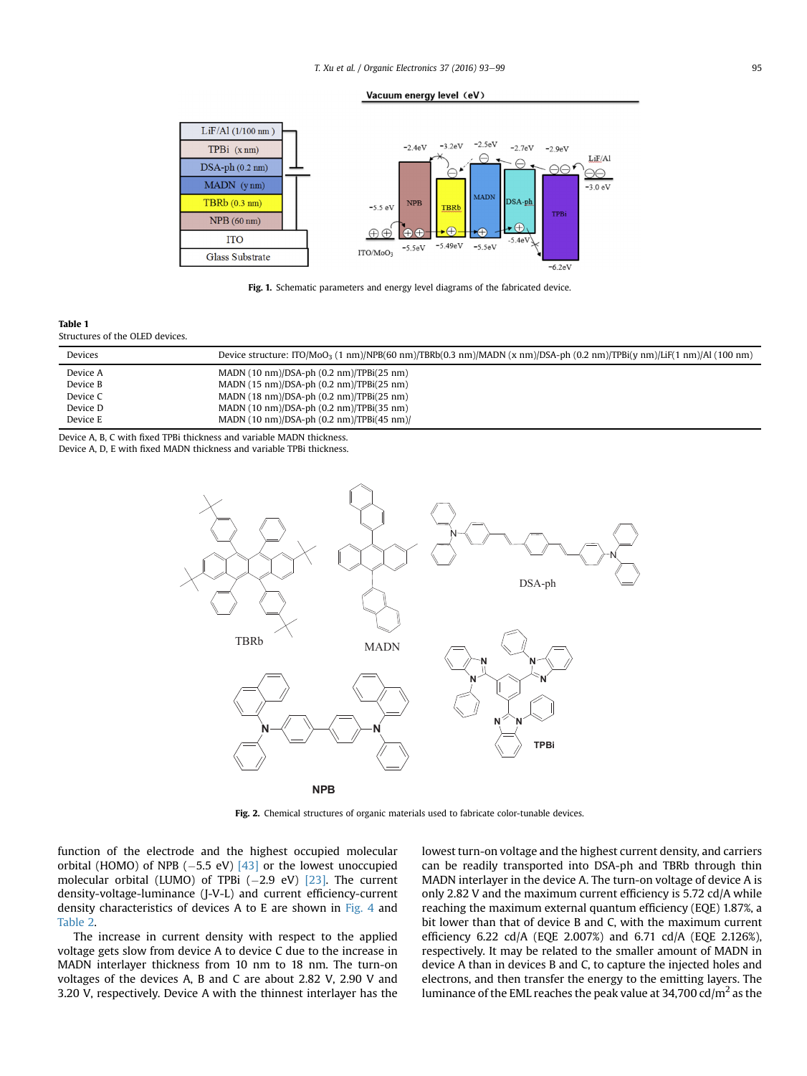Vacuum energy level (eV)

<span id="page-2-0"></span>

Fig. 1. Schematic parameters and energy level diagrams of the fabricated device.

Table 1 Structures of the OLED devices.

| Devices  | Device structure: ITO/MoO <sub>3</sub> (1 nm)/NPB(60 nm)/TBRb(0.3 nm)/MADN (x nm)/DSA-ph (0.2 nm)/TPBi(y nm)/LiF(1 nm)/Al (100 nm) |
|----------|------------------------------------------------------------------------------------------------------------------------------------|
| Device A | MADN $(10 \text{ nm})$ /DSA-ph $(0.2 \text{ nm})$ /TPBi $(25 \text{ nm})$                                                          |
| Device B | MADN $(15 \text{ nm})/DSA$ -ph $(0.2 \text{ nm})/TPBi(25 \text{ nm})$                                                              |
| Device C | MADN $(18 \text{ nm})/DSA$ -ph $(0.2 \text{ nm})/TPBi(25 \text{ nm})$                                                              |
| Device D | MADN $(10 \text{ nm})/DSA$ -ph $(0.2 \text{ nm})/TPBi(35 \text{ nm})$                                                              |
| Device E | MADN $(10 \text{ nm})$ /DSA-ph $(0.2 \text{ nm})$ /TPBi $(45 \text{ nm})$ /                                                        |

Device A, B, C with fixed TPBi thickness and variable MADN thickness. Device A, D, E with fixed MADN thickness and variable TPBi thickness.



Fig. 2. Chemical structures of organic materials used to fabricate color-tunable devices.

function of the electrode and the highest occupied molecular orbital (HOMO) of NPB  $(-5.5 \text{ eV})$   $[43]$  or the lowest unoccupied molecular orbital (LUMO) of TPBi  $(-2.9 \text{ eV})$   $[23]$ . The current density-voltage-luminance (J-V-L) and current efficiency-current density characteristics of devices A to E are shown in [Fig. 4](#page-3-0) and [Table 2.](#page-4-0)

The increase in current density with respect to the applied voltage gets slow from device A to device C due to the increase in MADN interlayer thickness from 10 nm to 18 nm. The turn-on voltages of the devices A, B and C are about 2.82 V, 2.90 V and 3.20 V, respectively. Device A with the thinnest interlayer has the lowest turn-on voltage and the highest current density, and carriers can be readily transported into DSA-ph and TBRb through thin MADN interlayer in the device A. The turn-on voltage of device A is only 2.82 V and the maximum current efficiency is 5.72 cd/A while reaching the maximum external quantum efficiency (EQE) 1.87%, a bit lower than that of device B and C, with the maximum current efficiency 6.22 cd/A (EQE 2.007%) and 6.71 cd/A (EQE 2.126%), respectively. It may be related to the smaller amount of MADN in device A than in devices B and C, to capture the injected holes and electrons, and then transfer the energy to the emitting layers. The luminance of the EML reaches the peak value at  $34,700 \text{ cd/m}^2$  as the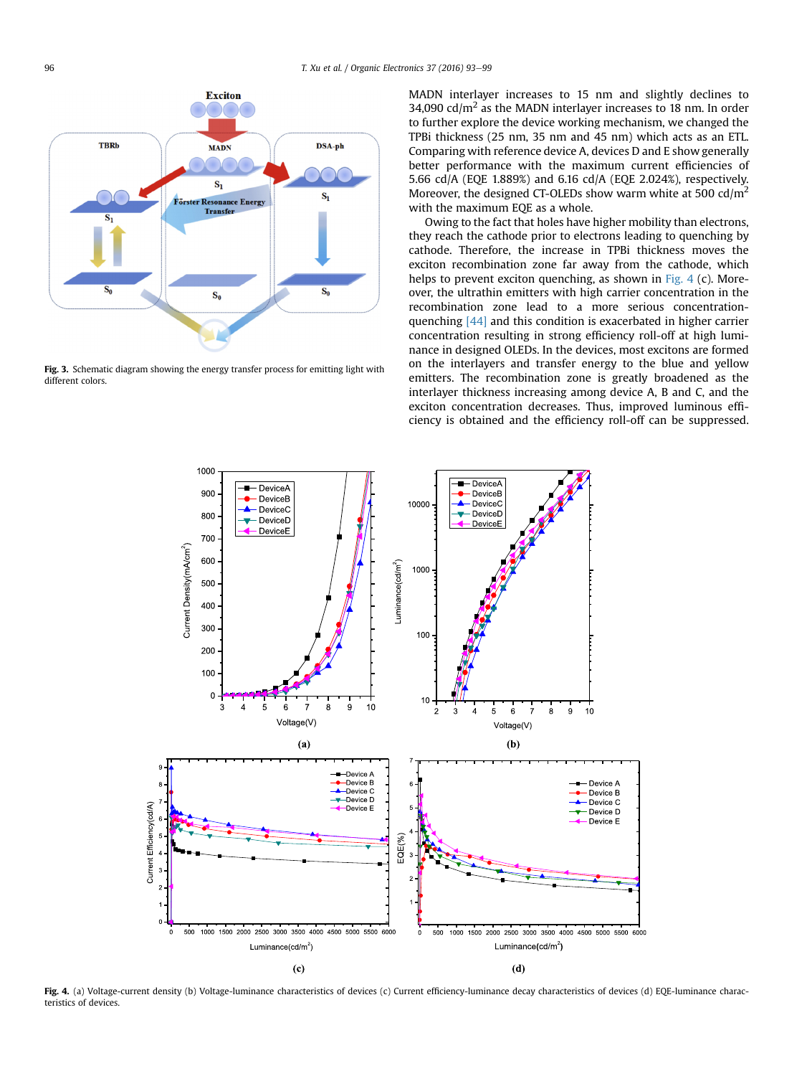<span id="page-3-0"></span>

Fig. 3. Schematic diagram showing the energy transfer process for emitting light with different colors.

MADN interlayer increases to 15 nm and slightly declines to 34,090 cd/ $m<sup>2</sup>$  as the MADN interlayer increases to 18 nm. In order to further explore the device working mechanism, we changed the TPBi thickness (25 nm, 35 nm and 45 nm) which acts as an ETL. Comparing with reference device A, devices D and E show generally better performance with the maximum current efficiencies of 5.66 cd/A (EQE 1.889%) and 6.16 cd/A (EQE 2.024%), respectively. Moreover, the designed CT-OLEDs show warm white at 500  $\text{cd/m}^2$ with the maximum EQE as a whole.

Owing to the fact that holes have higher mobility than electrons, they reach the cathode prior to electrons leading to quenching by cathode. Therefore, the increase in TPBi thickness moves the exciton recombination zone far away from the cathode, which helps to prevent exciton quenching, as shown in Fig. 4 (c). Moreover, the ultrathin emitters with high carrier concentration in the recombination zone lead to a more serious concentrationquenching [\[44\]](#page-6-0) and this condition is exacerbated in higher carrier concentration resulting in strong efficiency roll-off at high luminance in designed OLEDs. In the devices, most excitons are formed on the interlayers and transfer energy to the blue and yellow emitters. The recombination zone is greatly broadened as the interlayer thickness increasing among device A, B and C, and the exciton concentration decreases. Thus, improved luminous efficiency is obtained and the efficiency roll-off can be suppressed.



Fig. 4. (a) Voltage-current density (b) Voltage-luminance characteristics of devices (c) Current efficiency-luminance decay characteristics of devices (d) EQE-luminance characteristics of devices.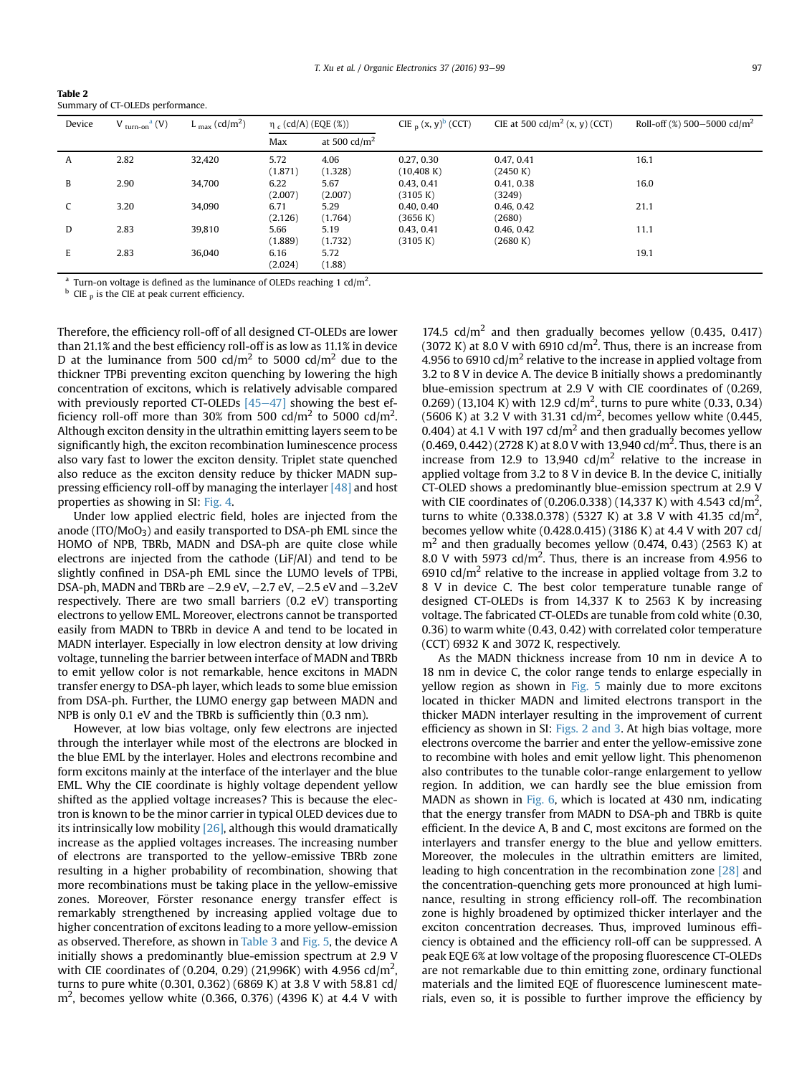<span id="page-4-0"></span>

| Table 2                          |
|----------------------------------|
| Summary of CT-OLEDs performance. |

| Device | $V_{\text{turn-on}}^{\text{a}}(V)$ | L $_{\text{max}}$ (cd/m <sup>2</sup> ) | $η_c (cd/A) (EQE (%))$ |                        | CIE $_{\text{D}}$ (x, y) <sup>b</sup> (CCT) | CIE at 500 cd/m <sup>2</sup> (x, y) (CCT) | Roll-off $(\%)$ 500-5000 cd/m <sup>2</sup> |
|--------|------------------------------------|----------------------------------------|------------------------|------------------------|---------------------------------------------|-------------------------------------------|--------------------------------------------|
|        |                                    |                                        | Max                    | at 500 $\text{cd/m}^2$ |                                             |                                           |                                            |
| A      | 2.82                               | 32,420                                 | 5.72<br>(1.871)        | 4.06<br>(1.328)        | 0.27, 0.30<br>$(10,408)$ K)                 | 0.47, 0.41<br>(2450 K)                    | 16.1                                       |
| B      | 2.90                               | 34,700                                 | 6.22<br>(2.007)        | 5.67<br>(2.007)        | 0.43, 0.41<br>(3105 K)                      | 0.41, 0.38<br>(3249)                      | 16.0                                       |
|        | 3.20                               | 34,090                                 | 6.71<br>(2.126)        | 5.29<br>(1.764)        | 0.40, 0.40<br>(3656 K)                      | 0.46, 0.42<br>(2680)                      | 21.1                                       |
| D      | 2.83                               | 39.810                                 | 5.66<br>(1.889)        | 5.19<br>(1.732)        | 0.43, 0.41<br>(3105 K)                      | 0.46, 0.42<br>(2680 K)                    | 11.1                                       |
| E      | 2.83                               | 36.040                                 | 6.16<br>(2.024)        | 5.72<br>(1.88)         |                                             |                                           | 19.1                                       |

<sup>a</sup> Turn-on voltage is defined as the luminance of OLEDs reaching 1 cd/m<sup>2</sup>.

CIE  $<sub>p</sub>$  is the CIE at peak current efficiency.</sub>

Therefore, the efficiency roll-off of all designed CT-OLEDs are lower than 21.1% and the best efficiency roll-off is as low as 11.1% in device D at the luminance from 500 cd/m<sup>2</sup> to 5000 cd/m<sup>2</sup> due to the thickner TPBi preventing exciton quenching by lowering the high concentration of excitons, which is relatively advisable compared with previously reported CT-OLEDs  $[45-47]$  $[45-47]$  $[45-47]$  showing the best efficiency roll-off more than 30% from 500 cd/m<sup>2</sup> to 5000 cd/m<sup>2</sup>. Although exciton density in the ultrathin emitting layers seem to be significantly high, the exciton recombination luminescence process also vary fast to lower the exciton density. Triplet state quenched also reduce as the exciton density reduce by thicker MADN suppressing efficiency roll-off by managing the interlayer [\[48\]](#page-6-0) and host properties as showing in SI: [Fig. 4.](#page-3-0)

Under low applied electric field, holes are injected from the anode (ITO/ $MoO<sub>3</sub>$ ) and easily transported to DSA-ph EML since the HOMO of NPB, TBRb, MADN and DSA-ph are quite close while electrons are injected from the cathode (LiF/Al) and tend to be slightly confined in DSA-ph EML since the LUMO levels of TPBi, DSA-ph, MADN and TBRb are  $-2.9$  eV,  $-2.7$  eV,  $-2.5$  eV and  $-3.2$ eV respectively. There are two small barriers (0.2 eV) transporting electrons to yellow EML. Moreover, electrons cannot be transported easily from MADN to TBRb in device A and tend to be located in MADN interlayer. Especially in low electron density at low driving voltage, tunneling the barrier between interface of MADN and TBRb to emit yellow color is not remarkable, hence excitons in MADN transfer energy to DSA-ph layer, which leads to some blue emission from DSA-ph. Further, the LUMO energy gap between MADN and NPB is only 0.1 eV and the TBRb is sufficiently thin (0.3 nm).

However, at low bias voltage, only few electrons are injected through the interlayer while most of the electrons are blocked in the blue EML by the interlayer. Holes and electrons recombine and form excitons mainly at the interface of the interlayer and the blue EML. Why the CIE coordinate is highly voltage dependent yellow shifted as the applied voltage increases? This is because the electron is known to be the minor carrier in typical OLED devices due to its intrinsically low mobility  $[26]$ , although this would dramatically increase as the applied voltages increases. The increasing number of electrons are transported to the yellow-emissive TBRb zone resulting in a higher probability of recombination, showing that more recombinations must be taking place in the yellow-emissive zones. Moreover, Förster resonance energy transfer effect is remarkably strengthened by increasing applied voltage due to higher concentration of excitons leading to a more yellow-emission as observed. Therefore, as shown in [Table 3](#page-5-0) and [Fig. 5](#page-5-0), the device A initially shows a predominantly blue-emission spectrum at 2.9 V with CIE coordinates of (0.204, 0.29) (21,996K) with 4.956 cd/m<sup>2</sup>, turns to pure white (0.301, 0.362) (6869 K) at 3.8 V with 58.81 cd/  $\rm m^2$ , becomes yellow white (0.366, 0.376) (4396 K) at 4.4 V with

174.5  $\text{cd/m}^2$  and then gradually becomes yellow (0.435, 0.417) (3072 K) at 8.0 V with 6910 cd/m<sup>2</sup>. Thus, there is an increase from 4.956 to 6910 cd/ $m^2$  relative to the increase in applied voltage from 3.2 to 8 V in device A. The device B initially shows a predominantly blue-emission spectrum at 2.9 V with CIE coordinates of (0.269, 0.269) (13,104 K) with 12.9 cd/m<sup>2</sup>, turns to pure white (0.33, 0.34) (5606 K) at 3.2 V with 31.31 cd/m<sup>2</sup>, becomes yellow white (0.445, 0.404) at 4.1 V with 197 cd/ $m<sup>2</sup>$  and then gradually becomes yellow  $(0.469, 0.442)$  (2728 K) at 8.0 V with 13,940 cd/m<sup>2</sup>. Thus, there is an increase from 12.9 to 13,940 cd/ $m<sup>2</sup>$  relative to the increase in applied voltage from 3.2 to 8 V in device B. In the device C, initially CT-OLED shows a predominantly blue-emission spectrum at 2.9 V with CIE coordinates of (0.206.0.338) (14,337 K) with 4.543 cd/m<sup>2</sup>, turns to white (0.338.0.378) (5327 K) at 3.8 V with 41.35 cd/m<sup>2</sup>, becomes yellow white (0.428.0.415) (3186 K) at 4.4 V with 207 cd/  $m<sup>2</sup>$  and then gradually becomes yellow (0.474, 0.43) (2563 K) at 8.0 V with 5973 cd/m<sup>2</sup>. Thus, there is an increase from 4.956 to 6910 cd/ $m<sup>2</sup>$  relative to the increase in applied voltage from 3.2 to 8 V in device C. The best color temperature tunable range of designed CT-OLEDs is from 14,337 K to 2563 K by increasing voltage. The fabricated CT-OLEDs are tunable from cold white (0.30, 0.36) to warm white (0.43, 0.42) with correlated color temperature (CCT) 6932 K and 3072 K, respectively.

As the MADN thickness increase from 10 nm in device A to 18 nm in device C, the color range tends to enlarge especially in yellow region as shown in  $Fig. 5$  mainly due to more excitons located in thicker MADN and limited electrons transport in the thicker MADN interlayer resulting in the improvement of current efficiency as shown in SI: [Figs. 2 and 3](#page-2-0). At high bias voltage, more electrons overcome the barrier and enter the yellow-emissive zone to recombine with holes and emit yellow light. This phenomenon also contributes to the tunable color-range enlargement to yellow region. In addition, we can hardly see the blue emission from MADN as shown in [Fig. 6](#page-5-0), which is located at 430 nm, indicating that the energy transfer from MADN to DSA-ph and TBRb is quite efficient. In the device A, B and C, most excitons are formed on the interlayers and transfer energy to the blue and yellow emitters. Moreover, the molecules in the ultrathin emitters are limited, leading to high concentration in the recombination zone [\[28\]](#page-6-0) and the concentration-quenching gets more pronounced at high luminance, resulting in strong efficiency roll-off. The recombination zone is highly broadened by optimized thicker interlayer and the exciton concentration decreases. Thus, improved luminous efficiency is obtained and the efficiency roll-off can be suppressed. A peak EQE 6% at low voltage of the proposing fluorescence CT-OLEDs are not remarkable due to thin emitting zone, ordinary functional materials and the limited EQE of fluorescence luminescent materials, even so, it is possible to further improve the efficiency by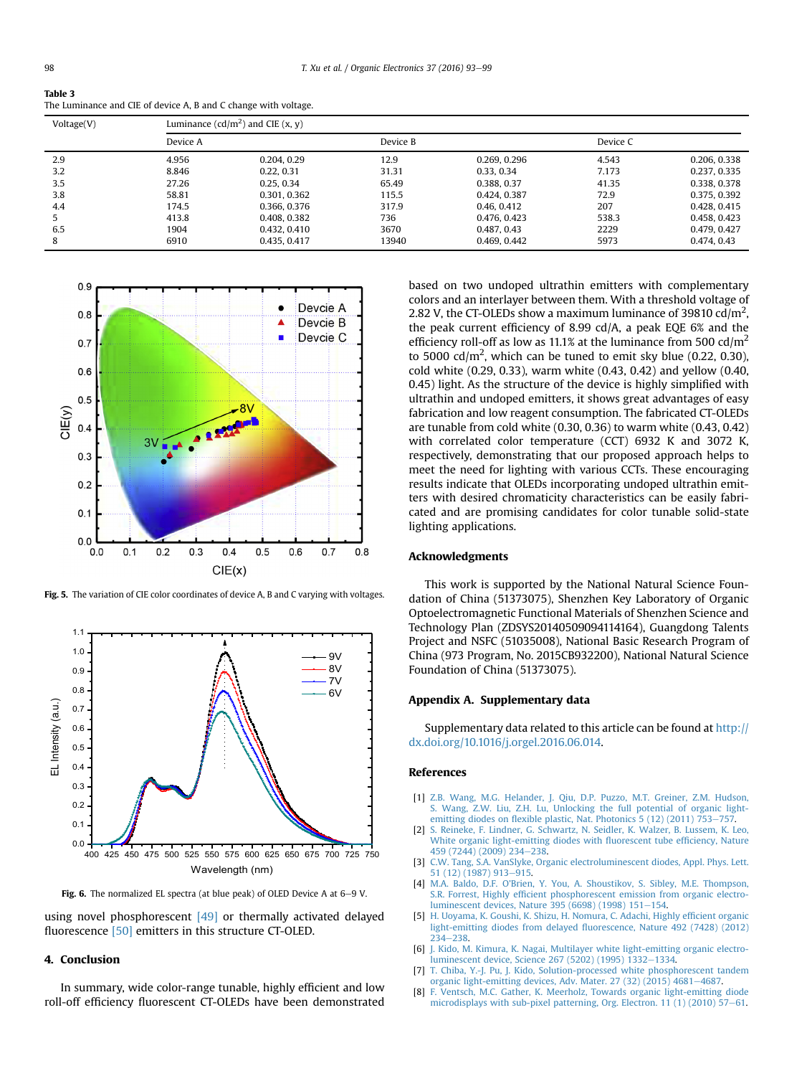<span id="page-5-0"></span>

| Table 3                                                         |
|-----------------------------------------------------------------|
| The Luminance and CIE of device A, B and C change with voltage. |

| Voltage(V) | Luminance $(cd/m^2)$ and CIE $(x, y)$ |              |          |              |          |              |  |  |  |  |
|------------|---------------------------------------|--------------|----------|--------------|----------|--------------|--|--|--|--|
|            | Device A                              |              | Device B |              | Device C |              |  |  |  |  |
| 2.9        | 4.956                                 | 0.204, 0.29  | 12.9     | 0.269, 0.296 | 4.543    | 0.206, 0.338 |  |  |  |  |
| 3.2        | 8.846                                 | 0.22, 0.31   | 31.31    | 0.33, 0.34   | 7.173    | 0.237, 0.335 |  |  |  |  |
| 3.5        | 27.26                                 | 0.25.0.34    | 65.49    | 0.388, 0.37  | 41.35    | 0.338, 0.378 |  |  |  |  |
| 3.8        | 58.81                                 | 0.301, 0.362 | 115.5    | 0.424, 0.387 | 72.9     | 0.375, 0.392 |  |  |  |  |
| 4.4        | 174.5                                 | 0.366, 0.376 | 317.9    | 0.46, 0.412  | 207      | 0.428, 0.415 |  |  |  |  |
|            | 413.8                                 | 0.408, 0.382 | 736      | 0.476, 0.423 | 538.3    | 0.458, 0.423 |  |  |  |  |
| 6.5        | 1904                                  | 0.432, 0.410 | 3670     | 0.487, 0.43  | 2229     | 0.479, 0.427 |  |  |  |  |
| 8          | 6910                                  | 0.435, 0.417 | 13940    | 0.469, 0.442 | 5973     | 0.474, 0.43  |  |  |  |  |



Fig. 5. The variation of CIE color coordinates of device A, B and C varying with voltages.



Fig. 6. The normalized EL spectra (at blue peak) of OLED Device A at  $6-9$  V.

using novel phosphorescent [\[49\]](#page-6-0) or thermally activated delayed fluorescence [\[50\]](#page-6-0) emitters in this structure CT-OLED.

# 4. Conclusion

In summary, wide color-range tunable, highly efficient and low roll-off efficiency fluorescent CT-OLEDs have been demonstrated based on two undoped ultrathin emitters with complementary colors and an interlayer between them. With a threshold voltage of 2.82 V, the CT-OLEDs show a maximum luminance of 39810 cd/m<sup>2</sup>, the peak current efficiency of 8.99 cd/A, a peak EQE 6% and the efficiency roll-off as low as 11.1% at the luminance from 500  $\text{cd/m}^2$ to 5000 cd/m<sup>2</sup>, which can be tuned to emit sky blue (0.22, 0.30), cold white (0.29, 0.33), warm white (0.43, 0.42) and yellow (0.40, 0.45) light. As the structure of the device is highly simplified with ultrathin and undoped emitters, it shows great advantages of easy fabrication and low reagent consumption. The fabricated CT-OLEDs are tunable from cold white (0.30, 0.36) to warm white (0.43, 0.42) with correlated color temperature (CCT) 6932 K and 3072 K, respectively, demonstrating that our proposed approach helps to meet the need for lighting with various CCTs. These encouraging results indicate that OLEDs incorporating undoped ultrathin emitters with desired chromaticity characteristics can be easily fabricated and are promising candidates for color tunable solid-state lighting applications.

# Acknowledgments

This work is supported by the National Natural Science Foundation of China (51373075), Shenzhen Key Laboratory of Organic Optoelectromagnetic Functional Materials of Shenzhen Science and Technology Plan (ZDSYS20140509094114164), Guangdong Talents Project and NSFC (51035008), National Basic Research Program of China (973 Program, No. 2015CB932200), National Natural Science Foundation of China (51373075).

# Appendix A. Supplementary data

Supplementary data related to this article can be found at [http://](http://dx.doi.org/10.1016/j.orgel.2016.06.014) [dx.doi.org/10.1016/j.orgel.2016.06.014.](http://dx.doi.org/10.1016/j.orgel.2016.06.014)

#### References

- [1] [Z.B. Wang, M.G. Helander, J. Qiu, D.P. Puzzo, M.T. Greiner, Z.M. Hudson,](http://refhub.elsevier.com/S1566-1199(16)30262-2/sref1) [S. Wang, Z.W. Liu, Z.H. Lu, Unlocking the full potential of organic light](http://refhub.elsevier.com/S1566-1199(16)30262-2/sref1)emitting diodes on flexible plastic, Nat. Photonics  $5(12)(2011)$  753-[757](http://refhub.elsevier.com/S1566-1199(16)30262-2/sref1).
- [2] [S. Reineke, F. Lindner, G. Schwartz, N. Seidler, K. Walzer, B. Lussem, K. Leo,](http://refhub.elsevier.com/S1566-1199(16)30262-2/sref2) [White organic light-emitting diodes with](http://refhub.elsevier.com/S1566-1199(16)30262-2/sref2) fluorescent tube efficiency, Nature [459 \(7244\) \(2009\) 234](http://refhub.elsevier.com/S1566-1199(16)30262-2/sref2)-[238](http://refhub.elsevier.com/S1566-1199(16)30262-2/sref2).
- [3] [C.W. Tang, S.A. VanSlyke, Organic electroluminescent diodes, Appl. Phys. Lett.](http://refhub.elsevier.com/S1566-1199(16)30262-2/sref3) [51 \(12\) \(1987\) 913](http://refhub.elsevier.com/S1566-1199(16)30262-2/sref3)-[915](http://refhub.elsevier.com/S1566-1199(16)30262-2/sref3).
- [4] M.A. Baldo, D.F. O'[Brien, Y. You, A. Shoustikov, S. Sibley, M.E. Thompson,](http://refhub.elsevier.com/S1566-1199(16)30262-2/sref4) S.R. Forrest, Highly effi[cient phosphorescent emission from organic electro](http://refhub.elsevier.com/S1566-1199(16)30262-2/sref4)[luminescent devices, Nature 395 \(6698\) \(1998\) 151](http://refhub.elsevier.com/S1566-1199(16)30262-2/sref4)-[154.](http://refhub.elsevier.com/S1566-1199(16)30262-2/sref4)
- [5] [H. Uoyama, K. Goushi, K. Shizu, H. Nomura, C. Adachi, Highly ef](http://refhub.elsevier.com/S1566-1199(16)30262-2/sref5)ficient organic light-emitting diodes from delayed fl[uorescence, Nature 492 \(7428\) \(2012\)](http://refhub.elsevier.com/S1566-1199(16)30262-2/sref5) [234](http://refhub.elsevier.com/S1566-1199(16)30262-2/sref5)-[238](http://refhub.elsevier.com/S1566-1199(16)30262-2/sref5)
- [6] [J. Kido, M. Kimura, K. Nagai, Multilayer white light-emitting organic electro](http://refhub.elsevier.com/S1566-1199(16)30262-2/sref6)[luminescent device, Science 267 \(5202\) \(1995\) 1332](http://refhub.elsevier.com/S1566-1199(16)30262-2/sref6)-[1334](http://refhub.elsevier.com/S1566-1199(16)30262-2/sref6).
- [7] [T. Chiba, Y.-J. Pu, J. Kido, Solution-processed white phosphorescent tandem](http://refhub.elsevier.com/S1566-1199(16)30262-2/sref7) [organic light-emitting devices, Adv. Mater. 27 \(32\) \(2015\) 4681](http://refhub.elsevier.com/S1566-1199(16)30262-2/sref7)-[4687](http://refhub.elsevier.com/S1566-1199(16)30262-2/sref7).
- [8] [F. Ventsch, M.C. Gather, K. Meerholz, Towards organic light-emitting diode](http://refhub.elsevier.com/S1566-1199(16)30262-2/sref8) [microdisplays with sub-pixel patterning, Org. Electron. 11 \(1\) \(2010\) 57](http://refhub.elsevier.com/S1566-1199(16)30262-2/sref8)-[61.](http://refhub.elsevier.com/S1566-1199(16)30262-2/sref8)